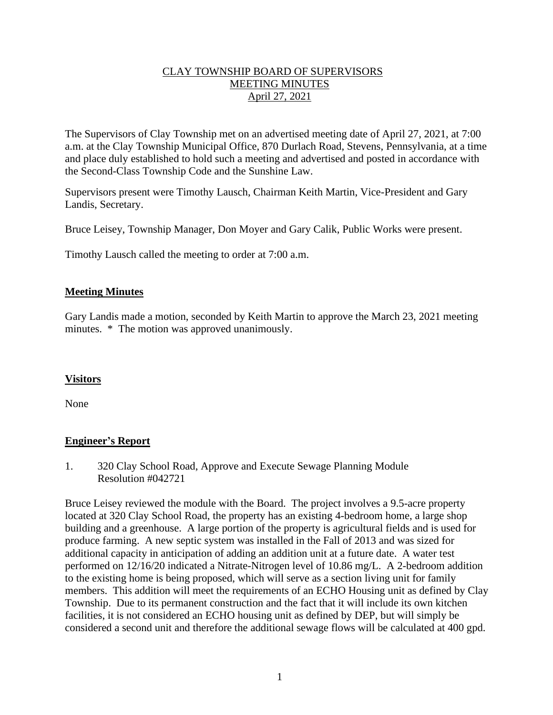### CLAY TOWNSHIP BOARD OF SUPERVISORS MEETING MINUTES April 27, 2021

The Supervisors of Clay Township met on an advertised meeting date of April 27, 2021, at 7:00 a.m. at the Clay Township Municipal Office, 870 Durlach Road, Stevens, Pennsylvania, at a time and place duly established to hold such a meeting and advertised and posted in accordance with the Second-Class Township Code and the Sunshine Law.

Supervisors present were Timothy Lausch, Chairman Keith Martin, Vice-President and Gary Landis, Secretary.

Bruce Leisey, Township Manager, Don Moyer and Gary Calik, Public Works were present.

Timothy Lausch called the meeting to order at 7:00 a.m.

### **Meeting Minutes**

Gary Landis made a motion, seconded by Keith Martin to approve the March 23, 2021 meeting minutes. \* The motion was approved unanimously.

### **Visitors**

None

### **Engineer's Report**

1. 320 Clay School Road, Approve and Execute Sewage Planning Module Resolution #042721

Bruce Leisey reviewed the module with the Board. The project involves a 9.5-acre property located at 320 Clay School Road, the property has an existing 4-bedroom home, a large shop building and a greenhouse. A large portion of the property is agricultural fields and is used for produce farming. A new septic system was installed in the Fall of 2013 and was sized for additional capacity in anticipation of adding an addition unit at a future date. A water test performed on 12/16/20 indicated a Nitrate-Nitrogen level of 10.86 mg/L. A 2-bedroom addition to the existing home is being proposed, which will serve as a section living unit for family members. This addition will meet the requirements of an ECHO Housing unit as defined by Clay Township. Due to its permanent construction and the fact that it will include its own kitchen facilities, it is not considered an ECHO housing unit as defined by DEP, but will simply be considered a second unit and therefore the additional sewage flows will be calculated at 400 gpd.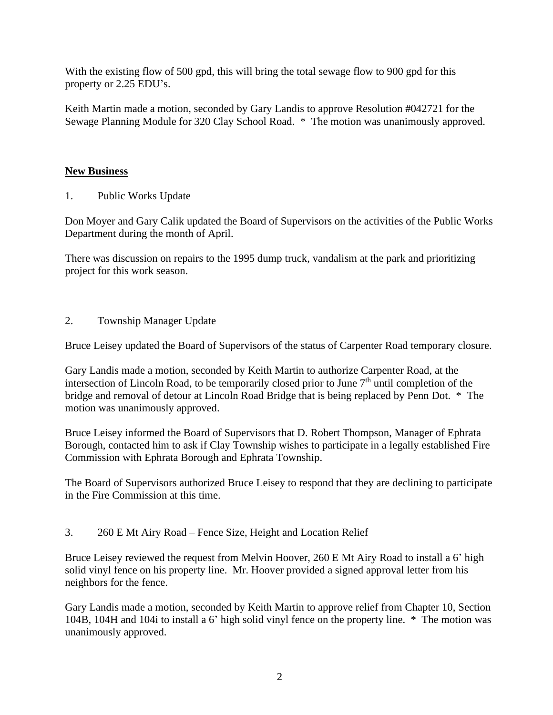With the existing flow of 500 gpd, this will bring the total sewage flow to 900 gpd for this property or 2.25 EDU's.

Keith Martin made a motion, seconded by Gary Landis to approve Resolution #042721 for the Sewage Planning Module for 320 Clay School Road. \* The motion was unanimously approved.

## **New Business**

1. Public Works Update

Don Moyer and Gary Calik updated the Board of Supervisors on the activities of the Public Works Department during the month of April.

There was discussion on repairs to the 1995 dump truck, vandalism at the park and prioritizing project for this work season.

2. Township Manager Update

Bruce Leisey updated the Board of Supervisors of the status of Carpenter Road temporary closure.

Gary Landis made a motion, seconded by Keith Martin to authorize Carpenter Road, at the intersection of Lincoln Road, to be temporarily closed prior to June  $7<sup>th</sup>$  until completion of the bridge and removal of detour at Lincoln Road Bridge that is being replaced by Penn Dot. \* The motion was unanimously approved.

Bruce Leisey informed the Board of Supervisors that D. Robert Thompson, Manager of Ephrata Borough, contacted him to ask if Clay Township wishes to participate in a legally established Fire Commission with Ephrata Borough and Ephrata Township.

The Board of Supervisors authorized Bruce Leisey to respond that they are declining to participate in the Fire Commission at this time.

3. 260 E Mt Airy Road – Fence Size, Height and Location Relief

Bruce Leisey reviewed the request from Melvin Hoover, 260 E Mt Airy Road to install a 6' high solid vinyl fence on his property line. Mr. Hoover provided a signed approval letter from his neighbors for the fence.

Gary Landis made a motion, seconded by Keith Martin to approve relief from Chapter 10, Section 104B, 104H and 104i to install a 6' high solid vinyl fence on the property line. \* The motion was unanimously approved.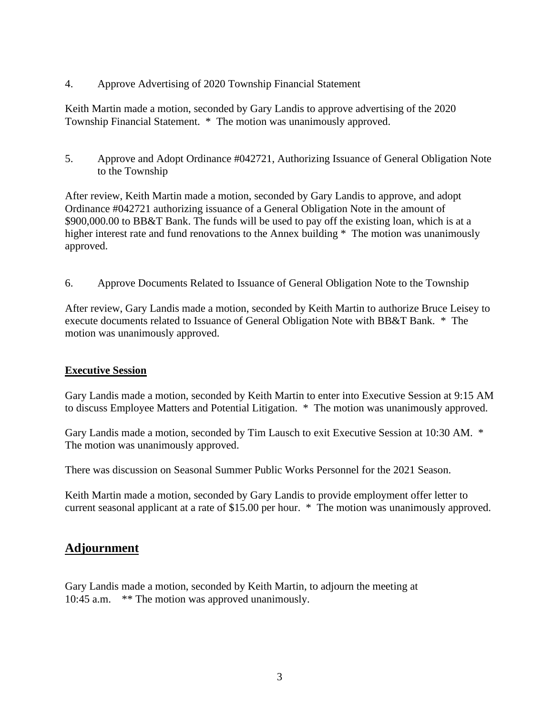4. Approve Advertising of 2020 Township Financial Statement

Keith Martin made a motion, seconded by Gary Landis to approve advertising of the 2020 Township Financial Statement. \* The motion was unanimously approved.

5. Approve and Adopt Ordinance #042721, Authorizing Issuance of General Obligation Note to the Township

After review, Keith Martin made a motion, seconded by Gary Landis to approve, and adopt Ordinance #042721 authorizing issuance of a General Obligation Note in the amount of \$900,000.00 to BB&T Bank. The funds will be used to pay off the existing loan, which is at a higher interest rate and fund renovations to the Annex building \* The motion was unanimously approved.

6. Approve Documents Related to Issuance of General Obligation Note to the Township

After review, Gary Landis made a motion, seconded by Keith Martin to authorize Bruce Leisey to execute documents related to Issuance of General Obligation Note with BB&T Bank. \* The motion was unanimously approved.

#### **Executive Session**

Gary Landis made a motion, seconded by Keith Martin to enter into Executive Session at 9:15 AM to discuss Employee Matters and Potential Litigation. \* The motion was unanimously approved.

Gary Landis made a motion, seconded by Tim Lausch to exit Executive Session at 10:30 AM. \* The motion was unanimously approved.

There was discussion on Seasonal Summer Public Works Personnel for the 2021 Season.

Keith Martin made a motion, seconded by Gary Landis to provide employment offer letter to current seasonal applicant at a rate of \$15.00 per hour. \* The motion was unanimously approved.

# **Adjournment**

Gary Landis made a motion, seconded by Keith Martin, to adjourn the meeting at 10:45 a.m. \*\* The motion was approved unanimously.